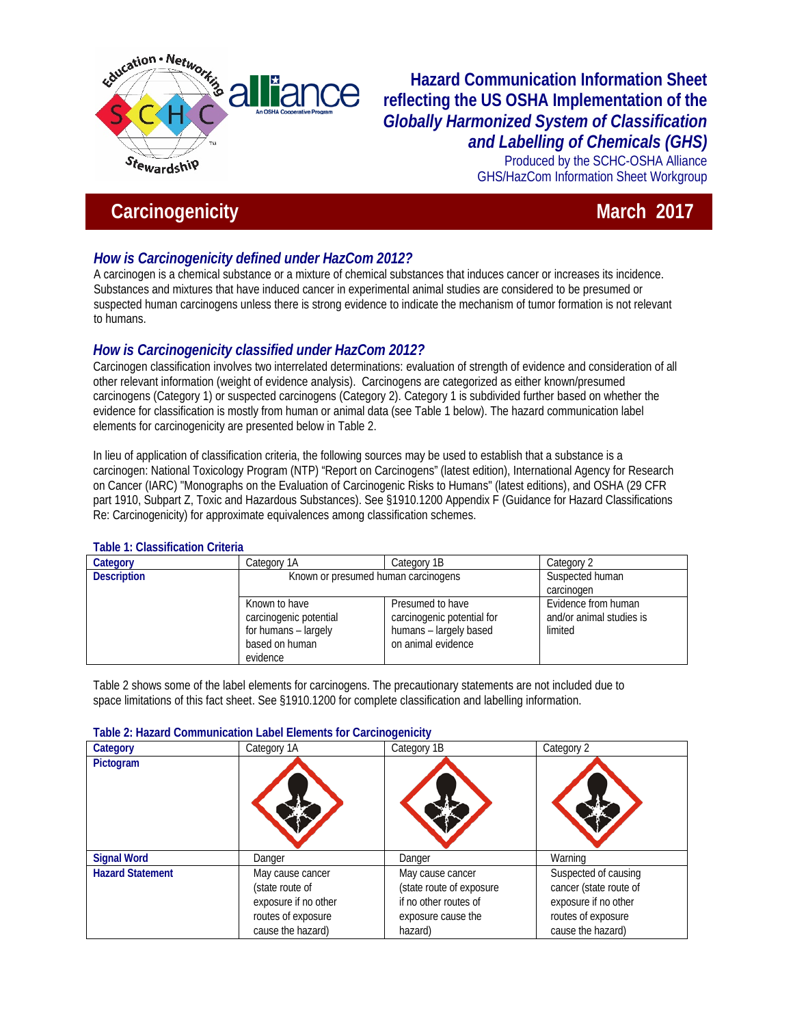

# **Hazard Communication Information Sheet reflecting the US OSHA Implementation of the**  *Globally Harmonized System of Classification and Labelling of Chemicals (GHS)*

Produced by the SCHC-OSHA Alliance GHS/HazCom Information Sheet Workgroup

# **Carcinogenicity** March<sub>2017</sub> March<sub>2017</sub> March<sub>2017</sub>

# *How is Carcinogenicity defined under HazCom 2012?*

A carcinogen is a chemical substance or a mixture of chemical substances that induces cancer or increases its incidence. Substances and mixtures that have induced cancer in experimental animal studies are considered to be presumed or suspected human carcinogens unless there is strong evidence to indicate the mechanism of tumor formation is not relevant to humans.

# *How is Carcinogenicity classified under HazCom 2012?*

Carcinogen classification involves two interrelated determinations: evaluation of strength of evidence and consideration of all other relevant information (weight of evidence analysis). Carcinogens are categorized as either known/presumed carcinogens (Category 1) or suspected carcinogens (Category 2). Category 1 is subdivided further based on whether the evidence for classification is mostly from human or animal data (see Table 1 below). The hazard communication label elements for carcinogenicity are presented below in Table 2.

In lieu of application of classification criteria, the following sources may be used to establish that a substance is a carcinogen: National Toxicology Program (NTP) "Report on Carcinogens" (latest edition), International Agency for Research on Cancer (IARC) "Monographs on the Evaluation of Carcinogenic Risks to Humans" (latest editions), and OSHA (29 CFR part 1910, Subpart Z, Toxic and Hazardous Substances). See §1910.1200 Appendix F (Guidance for Hazard Classifications Re: Carcinogenicity) for approximate equivalences among classification schemes.

### **Table 1: Classification Criteria**

| Category           | Category 1A                                                                                   | Category 1B                                                                                    | Category 2                                                 |  |
|--------------------|-----------------------------------------------------------------------------------------------|------------------------------------------------------------------------------------------------|------------------------------------------------------------|--|
| <b>Description</b> | Known or presumed human carcinogens                                                           |                                                                                                | Suspected human                                            |  |
|                    |                                                                                               |                                                                                                | carcinogen                                                 |  |
|                    | Known to have<br>carcinogenic potential<br>for humans - largely<br>based on human<br>evidence | Presumed to have<br>carcinogenic potential for<br>humans - largely based<br>on animal evidence | Evidence from human<br>and/or animal studies is<br>limited |  |

Table 2 shows some of the label elements for carcinogens. The precautionary statements are not included due to space limitations of this fact sheet. See §1910.1200 for complete classification and labelling information.

#### **Table 2: Hazard Communication Label Elements for Carcinogenicity**

| Category                | Category 1A          | Category 1B              | Category 2             |
|-------------------------|----------------------|--------------------------|------------------------|
| Pictogram               |                      |                          |                        |
| <b>Signal Word</b>      | Danger               | Danger                   | Warning                |
| <b>Hazard Statement</b> | May cause cancer     | May cause cancer         | Suspected of causing   |
|                         | (state route of      | (state route of exposure | cancer (state route of |
|                         | exposure if no other | if no other routes of    | exposure if no other   |
|                         | routes of exposure   | exposure cause the       | routes of exposure     |
|                         | cause the hazard)    | hazard)                  | cause the hazard)      |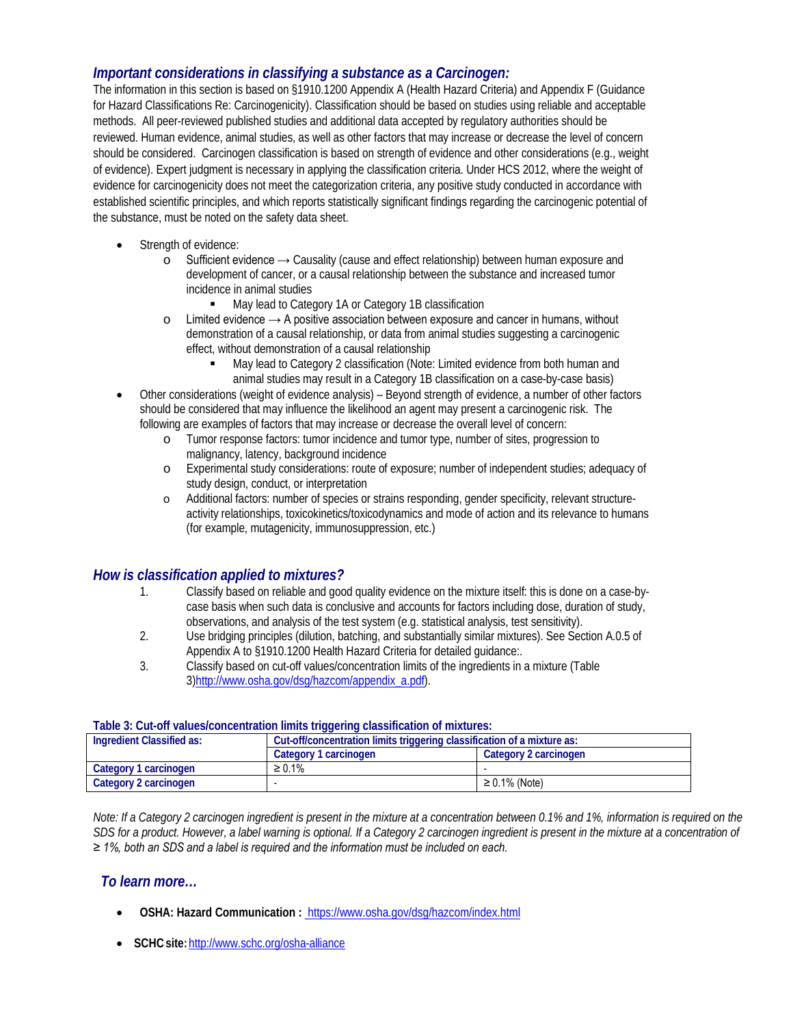## *Important considerations in classifying a substance as a Carcinogen:*

The information in this section is based on §1910.1200 Appendix A (Health Hazard Criteria) and Appendix F (Guidance for Hazard Classifications Re: Carcinogenicity). Classification should be based on studies using reliable and acceptable methods. All peer-reviewed published studies and additional data accepted by regulatory authorities should be reviewed. Human evidence, animal studies, as well as other factors that may increase or decrease the level of concern should be considered. Carcinogen classification is based on strength of evidence and other considerations (e.g., weight of evidence). Expert judgment is necessary in applying the classification criteria. Under HCS 2012, where the weight of evidence for carcinogenicity does not meet the categorization criteria, any positive study conducted in accordance with established scientific principles, and which reports statistically significant findings regarding the carcinogenic potential of the substance, must be noted on the safety data sheet.

- Strength of evidence:
	- o Sufficient evidence → Causality (cause and effect relationship) between human exposure and development of cancer, or a causal relationship between the substance and increased tumor incidence in animal studies
		- May lead to Category 1A or Category 1B classification
	- o Limited evidence → A positive association between exposure and cancer in humans, without demonstration of a causal relationship, or data from animal studies suggesting a carcinogenic effect, without demonstration of a causal relationship
		- May lead to Category 2 classification (Note: Limited evidence from both human and animal studies may result in a Category 1B classification on a case-by-case basis)
- Other considerations (weight of evidence analysis) Beyond strength of evidence, a number of other factors should be considered that may influence the likelihood an agent may present a carcinogenic risk. The following are examples of factors that may increase or decrease the overall level of concern:
	- o Tumor response factors: tumor incidence and tumor type, number of sites, progression to malignancy, latency, background incidence
	- o Experimental study considerations: route of exposure; number of independent studies; adequacy of study design, conduct, or interpretation
	- o Additional factors: number of species or strains responding, gender specificity, relevant structureactivity relationships, toxicokinetics/toxicodynamics and mode of action and its relevance to humans (for example, mutagenicity, immunosuppression, etc.)

## *How is classification applied to mixtures?*

- 1. Classify based on reliable and good quality evidence on the mixture itself: this is done on a case-bycase basis when such data is conclusive and accounts for factors including dose, duration of study, observations, and analysis of the test system (e.g. statistical analysis, test sensitivity).
- 2. Use bridging principles (dilution, batching, and substantially similar mixtures). See Section A.0.5 of Appendix A to §1910.1200 Health Hazard Criteria for detailed guidance:.
- 3. Classify based on cut-off values/concentration limits of the ingredients in a mixture (Table 3[\)http://www.osha.gov/dsg/hazcom/appendix\\_a.pdf\)](http://www.osha.gov/dsg/hazcom/appendix_a.pdf).

| Table 3: Cut-on values/concentration limits triggering classification of mixtures: |                                                                         |                       |  |  |
|------------------------------------------------------------------------------------|-------------------------------------------------------------------------|-----------------------|--|--|
| Ingredient Classified as:                                                          | Cut-off/concentration limits triggering classification of a mixture as: |                       |  |  |
|                                                                                    | Category 1 carcinogen                                                   | Category 2 carcinogen |  |  |
| Category 1 carcinogen                                                              | $\geq 0.1\%$                                                            |                       |  |  |
| Category 2 carcinogen                                                              |                                                                         | $\geq 0.1\%$ (Note)   |  |  |

#### **Table 3: Cut-off values/concentration limits triggering classification of mixtures:**

*Note: If a Category 2 carcinogen ingredient is present in the mixture at a concentration between 0.1% and 1%, information is required on the*  SDS for a product. However, a label warning is optional. If a Category 2 carcinogen ingredient is present in the mixture at a concentration of *≥ 1%, both an SDS and a label is required and the information must be included on each.*

### *To learn more…*

- **OSHA: Hazard Communication :** <https://www.osha.gov/dsg/hazcom/index.html>
- **SCHCsite:**<http://www.schc.org/osha-alliance>